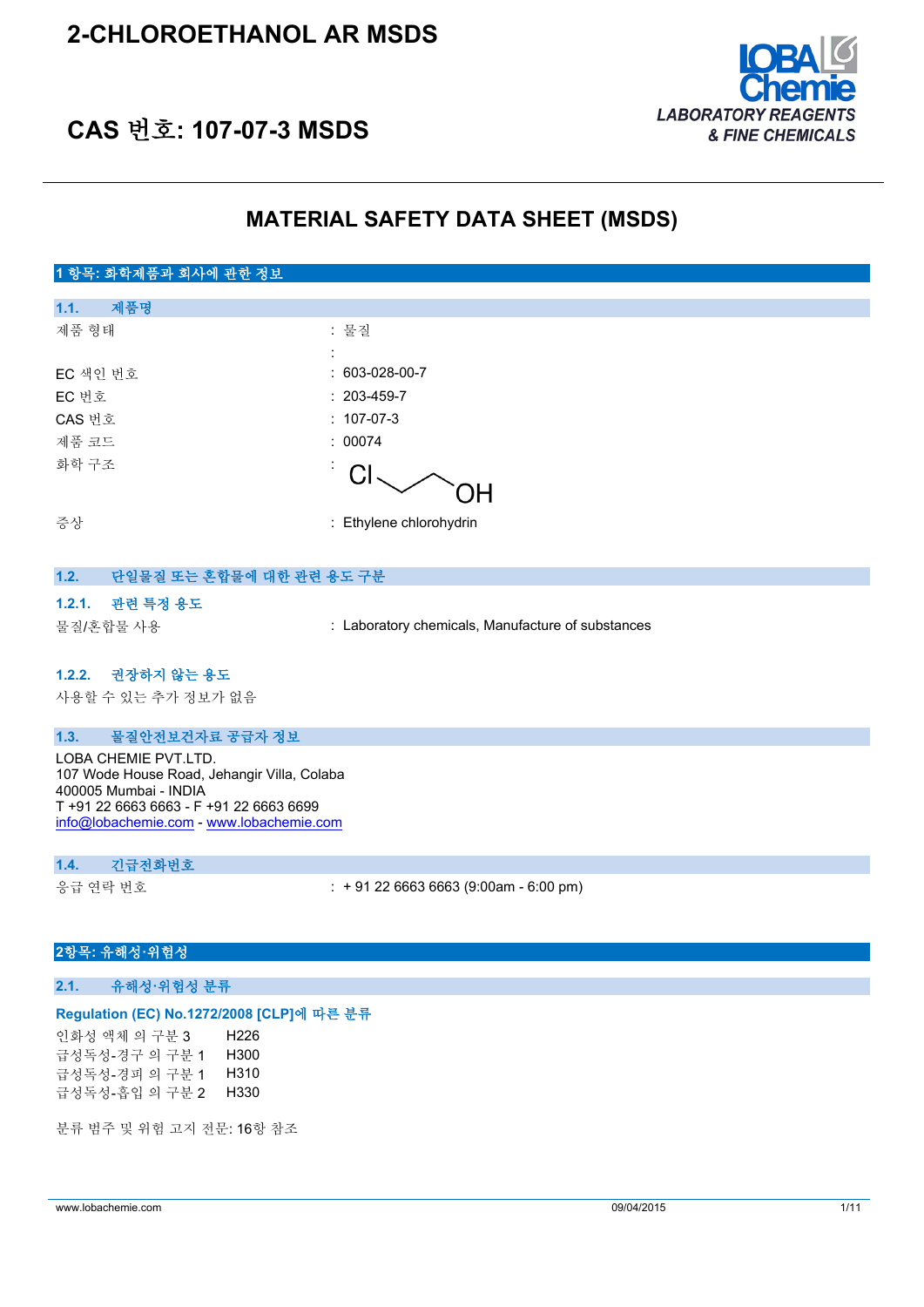### **2-CHLOROETHANOL AR MSDS**



### **CAS 번호: 107-07-3 MSDS**

### **MATERIAL SAFETY DATA SHEET (MSDS)**

### **1 항목: 화학제품과 회사에 관한 정보 1.1. 제품명** 제품 형태 : 기대 : 기대 : 물질 : EC 색인 번호 : 603-028-00-7 EC 번호 : 203-459-7 CAS 번호 : 107-07-3 제품 코드 : 00074 화학 구조 : CI OΗ 증상 : Ethylene chlorohydrin **1.2. 단일물질 또는 혼합물에 대한 관련 용도 구분 1.2.1. 관련 특정 용도** 물질/혼합물 사용 : Laboratory chemicals, Manufacture of substances **1.2.2. 권장하지 않는 용도**

사용할 수 있는 추가 정보가 없음

### **1.3. 물질안전보건자료 공급자 정보**

LOBA CHEMIE PVT.LTD. 107 Wode House Road, Jehangir Villa, Colaba 400005 Mumbai - INDIA T +91 22 6663 6663 - F +91 22 6663 6699 [info@lobachemie.com](mailto:info@lobachemie.com) - <www.lobachemie.com>

#### **1.4. 긴급전화번호**

응급 연락 번호 : + 91 22 6663 6663 (9:00am - 6:00 pm)

### **2항목: 유해성·위험성**

#### **2.1. 유해성·위험성 분류**

#### **Regulation (EC) No.1272/2008 [CLP]에 따른 분류**

인화성 액체 의 구분 3 H226 급성독성-경구 의 구분 1 H300 급성독성-경피 의 구분 1 H310 급성독성-흡입 의 구분 2 H330

분류 범주 및 위험 고지 전문: 16항 참조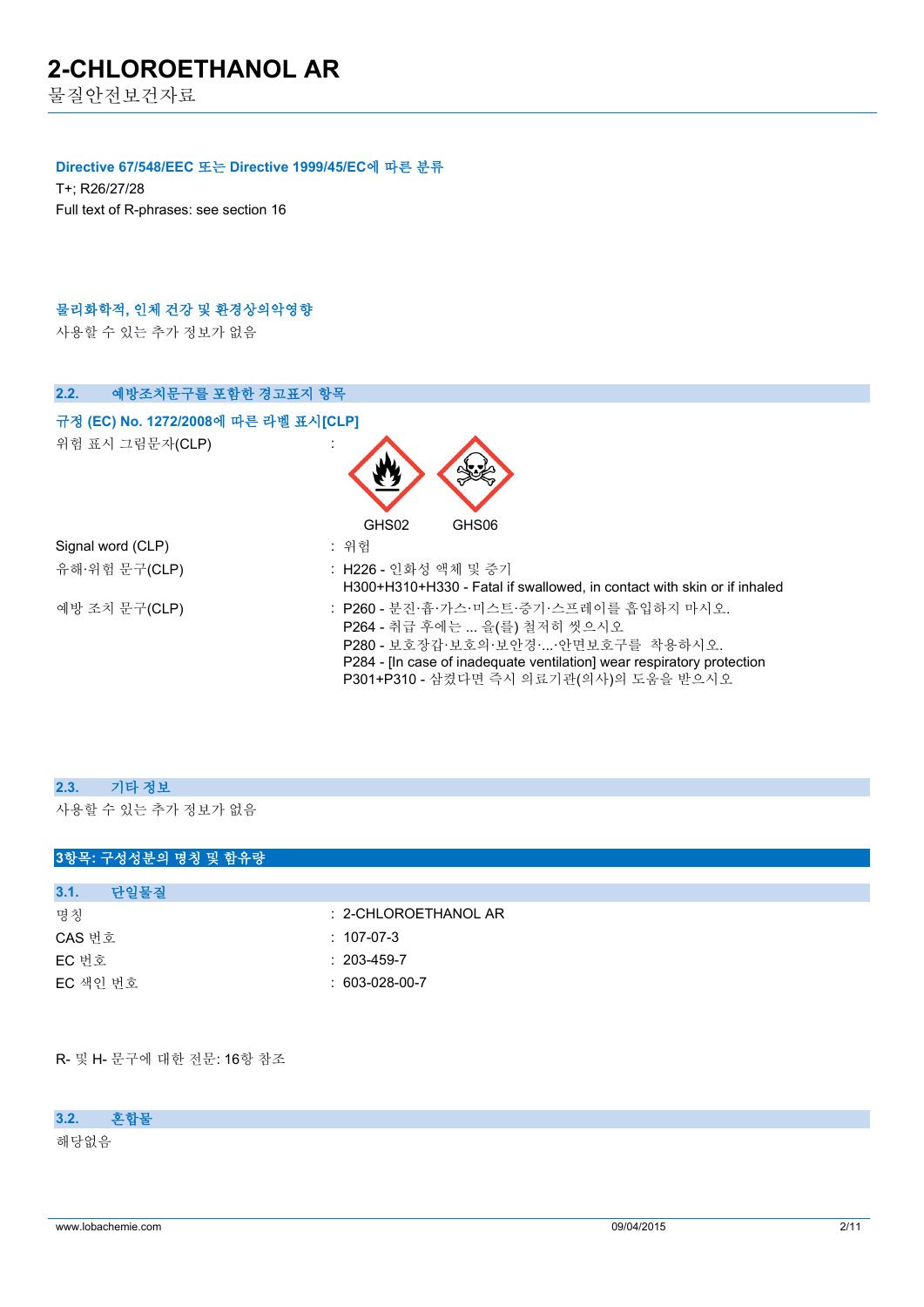물질안전보건자료

### **Directive 67/548/EEC 또는 Directive 1999/45/EC에 따른 분류**

T+; R26/27/28 Full text of R-phrases: see section 16

### **물리화학적, 인체 건강 및 환경상의악영향**

사용할 수 있는 추가 정보가 없음



| 2.3. 기타 정보         |
|--------------------|
| 사용할 수 있는 추가 정보가 없음 |

| 3항목: 구성성분의 명칭 및 함유량 |                      |
|---------------------|----------------------|
|                     |                      |
| 단일물질<br>3.1.        |                      |
| 명칭                  | : 2-CHLOROETHANOL AR |
| CAS 번호              | $: 107-07-3$         |
| EC 번호               | $: 203 - 459 - 7$    |
| EC 색인 번호            | $: 603-028-00-7$     |
|                     |                      |

R- 및 H- 문구에 대한 전문: 16항 참조

**3.2. 혼합물**

해당없음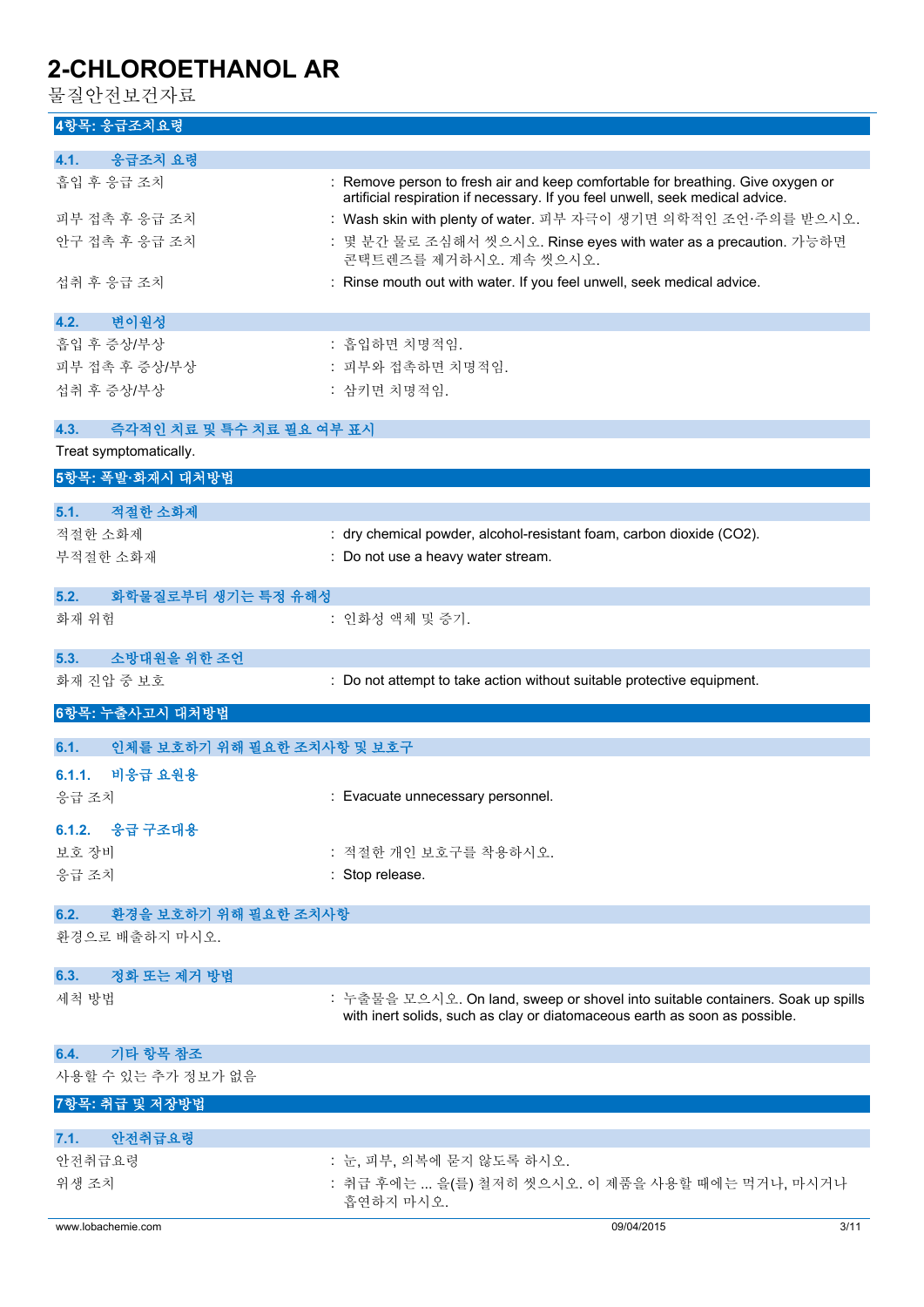물질안전보건자료

### **4항목: 응급조치요령**

| 4.1.<br>응급조치 요령                                |                                                                                                                                                                  |
|------------------------------------------------|------------------------------------------------------------------------------------------------------------------------------------------------------------------|
|                                                |                                                                                                                                                                  |
| 흡입 후 응급 조치                                     | : Remove person to fresh air and keep comfortable for breathing. Give oxygen or<br>artificial respiration if necessary. If you feel unwell, seek medical advice. |
| 피부 접촉 후 응급 조치                                  | : Wash skin with plenty of water. 피부 자극이 생기면 의학적인 조언·주의를 받으시오.                                                                                                   |
| 안구 접촉 후 응급 조치                                  | : 몇 분간 물로 조심해서 씻으시오. Rinse eyes with water as a precaution. 가능하면<br>콘택트렌즈를 제거하시오. 계속 씻으시오.                                                                       |
| 섭취 후 응급 조치                                     | : Rinse mouth out with water. If you feel unwell, seek medical advice.                                                                                           |
| 변이원성<br>4.2.                                   |                                                                                                                                                                  |
| 흡입 후 증상/부상                                     | : 흡입하면 치명적임.                                                                                                                                                     |
| 피부 접촉 후 증상/부상                                  | : 피부와 접촉하면 치명적임.                                                                                                                                                 |
| 섭취 후 증상/부상                                     | : 삼키면 치명적임.                                                                                                                                                      |
| 즉각적인 치료 및 특수 치료 필요 여부 표시<br>4.3.               |                                                                                                                                                                  |
| Treat symptomatically.                         |                                                                                                                                                                  |
| 5항목: 폭발·화재시 대처방법                               |                                                                                                                                                                  |
|                                                |                                                                                                                                                                  |
| 적절한 소화제<br>5.1.                                |                                                                                                                                                                  |
| 적절한 소화제                                        | : dry chemical powder, alcohol-resistant foam, carbon dioxide (CO2).                                                                                             |
| 부적절한 소화재                                       | : Do not use a heavy water stream.                                                                                                                               |
| 화학물질로부터 생기는 특정 유해성<br>5.2.                     |                                                                                                                                                                  |
| 화재 위험                                          | : 인화성 액체 및 증기.                                                                                                                                                   |
| 소방대원을 위한 조언<br>5.3.                            |                                                                                                                                                                  |
| 화재 진압 중 보호                                     | : Do not attempt to take action without suitable protective equipment.                                                                                           |
| 6항목: 누출사고시 대처방법                                |                                                                                                                                                                  |
|                                                |                                                                                                                                                                  |
| 인체를 보호하기 위해 필요한 조치사항 및 보호구<br>6.1.             |                                                                                                                                                                  |
| 비응급 요원용<br>6.1.1.                              |                                                                                                                                                                  |
| 응급 조치                                          | : Evacuate unnecessary personnel.                                                                                                                                |
| 6.1.2. 응급 구조대용                                 |                                                                                                                                                                  |
| 보호 장비                                          | : 적절한 개인 보호구를 착용하시오.                                                                                                                                             |
| 응급 조치                                          | : Stop release.                                                                                                                                                  |
|                                                |                                                                                                                                                                  |
| 환경을 보호하기 위해 필요한 조치사항<br>6.2.<br>환경으로 배출하지 마시오. |                                                                                                                                                                  |
| 6.3.                                           |                                                                                                                                                                  |
| 정화 또는 제거 방법<br>세척 방법                           | : 누출물을 모으시오. On land, sweep or shovel into suitable containers. Soak up spills<br>with inert solids, such as clay or diatomaceous earth as soon as possible.     |
|                                                |                                                                                                                                                                  |
| 기타 항목 참조<br>6.4.<br>사용할 수 있는 추가 정보가 없음         |                                                                                                                                                                  |
|                                                |                                                                                                                                                                  |
| 7항목: 취급 및 저장방법                                 |                                                                                                                                                                  |
| 안전취급요령<br>7.1.<br>안전취급요령                       | : 눈, 피부, 의복에 묻지 않도록 하시오.                                                                                                                                         |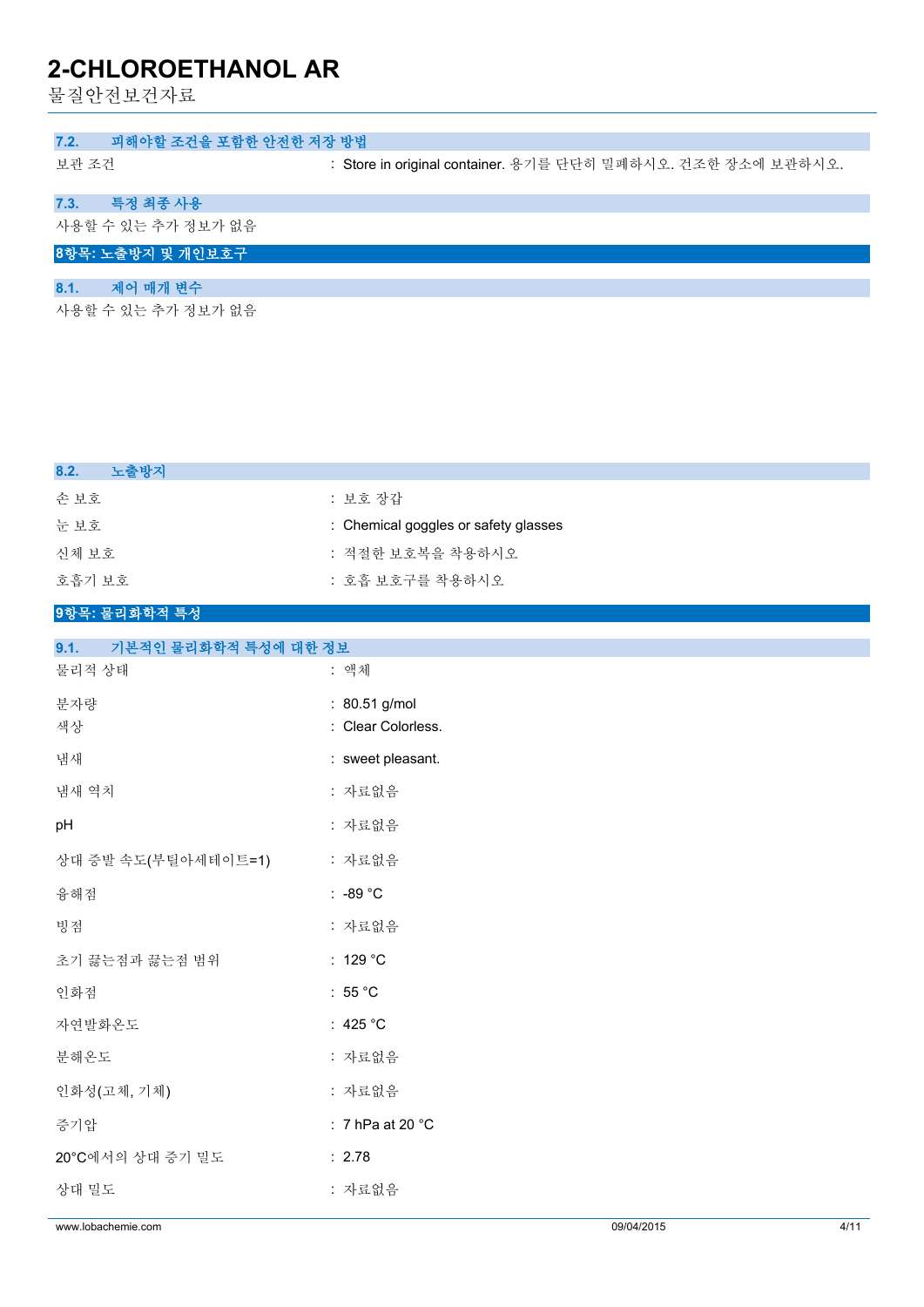물질안전보건자료

### **7.2. 피해야할 조건을 포함한 안전한 저장 방법**

보관 조건 : Store in original container. 용기를 단단히 밀폐하시오. 건조한 장소에 보관하시오.

### **7.3. 특정 최종 사용**

사용할 수 있는 추가 정보가 없음

### **8항목: 노출방지 및 개인보호구**

### **8.1. 제어 매개 변수**

사용할 수 있는 추가 정보가 없음

| 노출방지<br>8.2.                |                                      |
|-----------------------------|--------------------------------------|
| 손보호                         | : 보호 장갑                              |
| 눈보호                         | : Chemical goggles or safety glasses |
| 신체 보호                       | : 적절한 보호복을 착용하시오                     |
| 호흡기 보호                      | : 호흡 보호구를 착용하시오                      |
| 9항목: 물리화학적 특성               |                                      |
| 0.4<br>기보저이 모기치하저 트셔에 비치 져버 |                                      |

| : 자료없음<br>: 7 hPa at 20 $^{\circ}$ C<br>: 2.78<br>: 자료없음 |                                                           |  |
|----------------------------------------------------------|-----------------------------------------------------------|--|
|                                                          |                                                           |  |
|                                                          |                                                           |  |
|                                                          |                                                           |  |
|                                                          |                                                           |  |
| : 자료없음                                                   |                                                           |  |
| : 425 $^{\circ}$ C                                       |                                                           |  |
| : 55 $^{\circ}$ C                                        |                                                           |  |
| : 129 $^{\circ}$ C                                       |                                                           |  |
| : 자료없음                                                   |                                                           |  |
| : -89 $^{\circ}$ C                                       |                                                           |  |
| : 자료없음                                                   |                                                           |  |
| : 자료없음                                                   |                                                           |  |
| : 자료없음                                                   |                                                           |  |
| : sweet pleasant.                                        |                                                           |  |
| : Clear Colorless.                                       |                                                           |  |
|                                                          |                                                           |  |
|                                                          | -- 기는 다 난 불 너 커 커 거 거 이 게 된 18 프<br>: 액체<br>: 80.51 g/mol |  |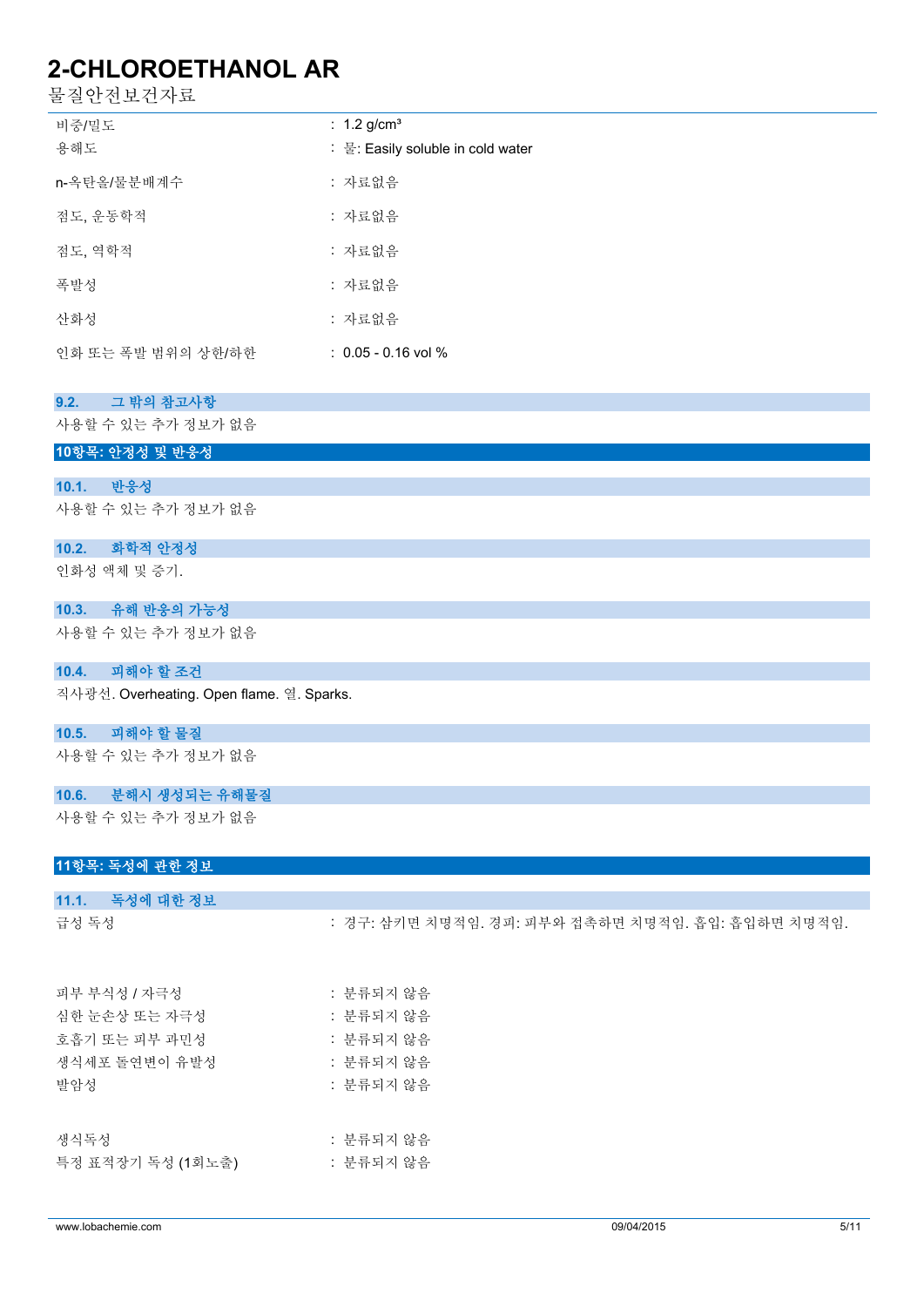물질안전보건자료

| 비중/밀도<br>용해도       | : 1.2 g/cm <sup>3</sup><br>: 물: Easily soluble in cold water |
|--------------------|--------------------------------------------------------------|
| n-옥탄올/물분배계수        | : 자료없음                                                       |
| 점도, 운동학적           | : 자료없음                                                       |
| 젂도. 역학적            | : 자료없음                                                       |
| 폭발성                | : 자료없음                                                       |
| 사화성                | : 자료없음                                                       |
| 인화 또는 폭발 범위의 상한/하한 | $: 0.05 - 0.16$ vol %                                        |

| 그 밖의 참고사항<br>9.2. |  |
|-------------------|--|
|-------------------|--|

사용할 수 있는 추가 정보가 없음

**10항목: 안정성 및 반응성**

### **10.1. 반응성**

사용할 수 있는 추가 정보가 없음

### **10.2. 화학적 안정성**

인화성 액체 및 증기.

### **10.3. 유해 반응의 가능성**

사용할 수 있는 추가 정보가 없음

### **10.4. 피해야 할 조건**

직사광선. Overheating. Open flame. 열. Sparks.

#### **10.5. 피해야 할 물질**

사용할 수 있는 추가 정보가 없음

### **10.6. 분해시 생성되는 유해물질**

사용할 수 있는 추가 정보가 없음

### **11항목: 독성에 관한 정보**

# **11.1. 독성에 대한 정보** 급성 독성 : 기능 : 경구: 삼키면 치명적임. 경피: 피부와 접촉하면 치명적임. 흡입: 흡입하면 치명적임.

| 피부 부식성 / 자극성      | : 분류되지 않음 |
|-------------------|-----------|
| 심한 눈손상 또는 자극성     | : 분류되지 않음 |
| 호흡기 또는 피부 과민성     | : 분류되지 않음 |
| 생식세포 돌연변이 유발성     | : 분류되지 않음 |
| 발암성               | : 뷰류되지 않음 |
|                   |           |
|                   |           |
| 생식독성              | : 분류되지 않음 |
| 특정 표적장기 독성 (1회노출) | : 분류되지 않음 |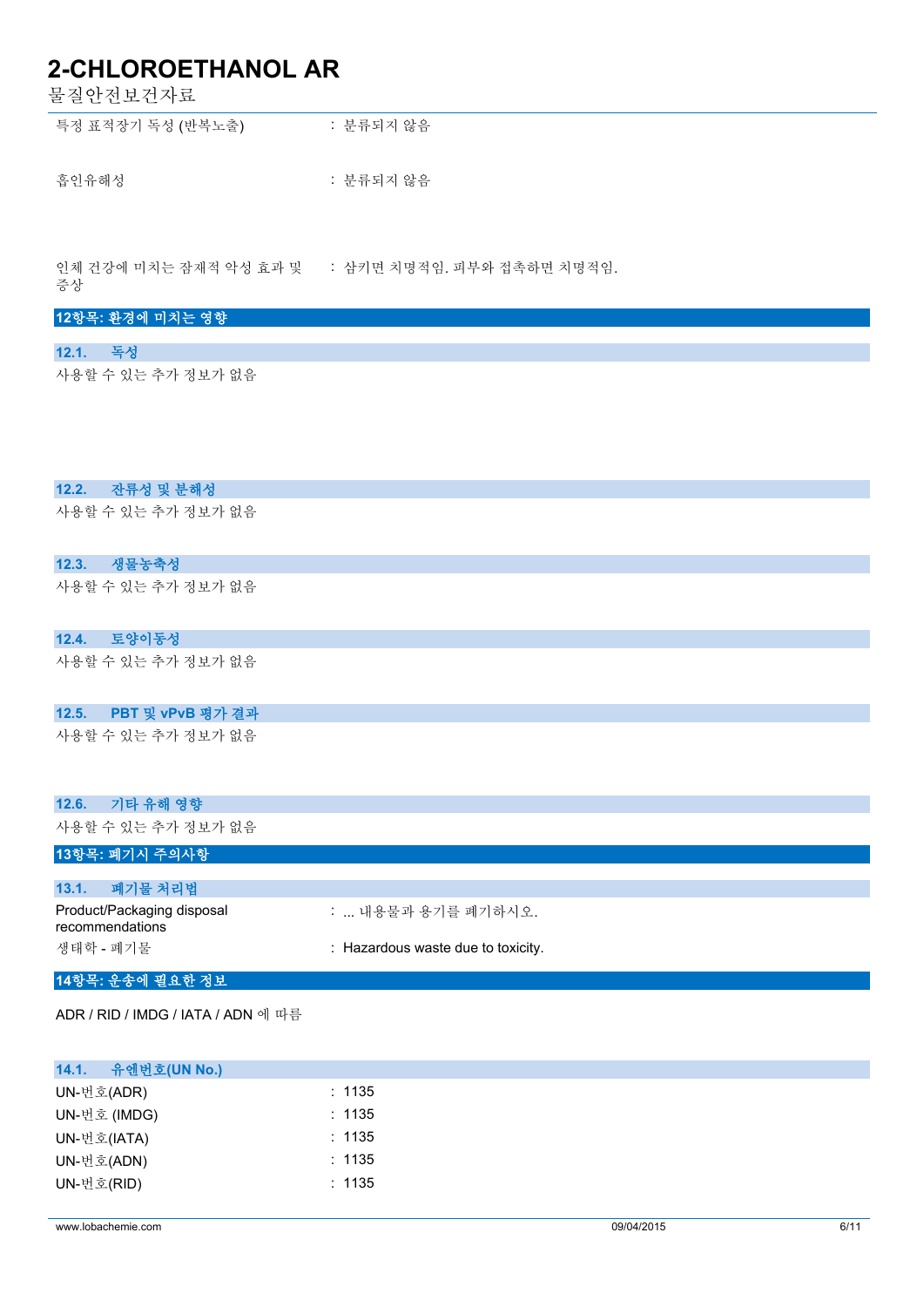물질안전보건자료

| 특정 표적장기 독성 (반복노출) | : 분류되지 않음 |
|-------------------|-----------|
|                   |           |
| 흡인유해성             | : 분류되지 않음 |

인체 건강에 미치는 잠재적 악성 효과 및 증상 : 삼키면 치명적임. 피부와 접촉하면 치명적임.

### **12항목: 환경에 미치는 영향**

### **12.1. 독성**

사용할 수 있는 추가 정보가 없음

### **12.2. 잔류성 및 분해성**

사용할 수 있는 추가 정보가 없음

### **12.3. 생물농축성**

사용할 수 있는 추가 정보가 없음

### **12.4. 토양이동성**

사용할 수 있는 추가 정보가 없음

### **12.5. PBT 및 vPvB 평가 결과**

사용할 수 있는 추가 정보가 없음

|                 | 12.6. 기타 유해 영향             |                                    |
|-----------------|----------------------------|------------------------------------|
|                 | 사용할 수 있는 추가 정보가 없음         |                                    |
|                 | 13항목: 폐기시 주의사항             |                                    |
|                 |                            |                                    |
|                 | 13.1. 폐기물 처리법              |                                    |
| recommendations | Product/Packaging disposal | :  내용물과 용기를 폐기하시오.                 |
| 생태학 - 폐기물       |                            | : Hazardous waste due to toxicity. |

### **14항목: 운송에 필요한 정보**

ADR / RID / IMDG / IATA / ADN 에 따름

| 14.1.<br>유엔번호(UN No.) |        |  |
|-----------------------|--------|--|
| UN-번호(ADR)            | : 1135 |  |
| UN-번호 (IMDG)          | : 1135 |  |
| UN-번호(IATA)           | : 1135 |  |
| UN-번호(ADN)            | : 1135 |  |
| UN-번호(RID)            | : 1135 |  |
|                       |        |  |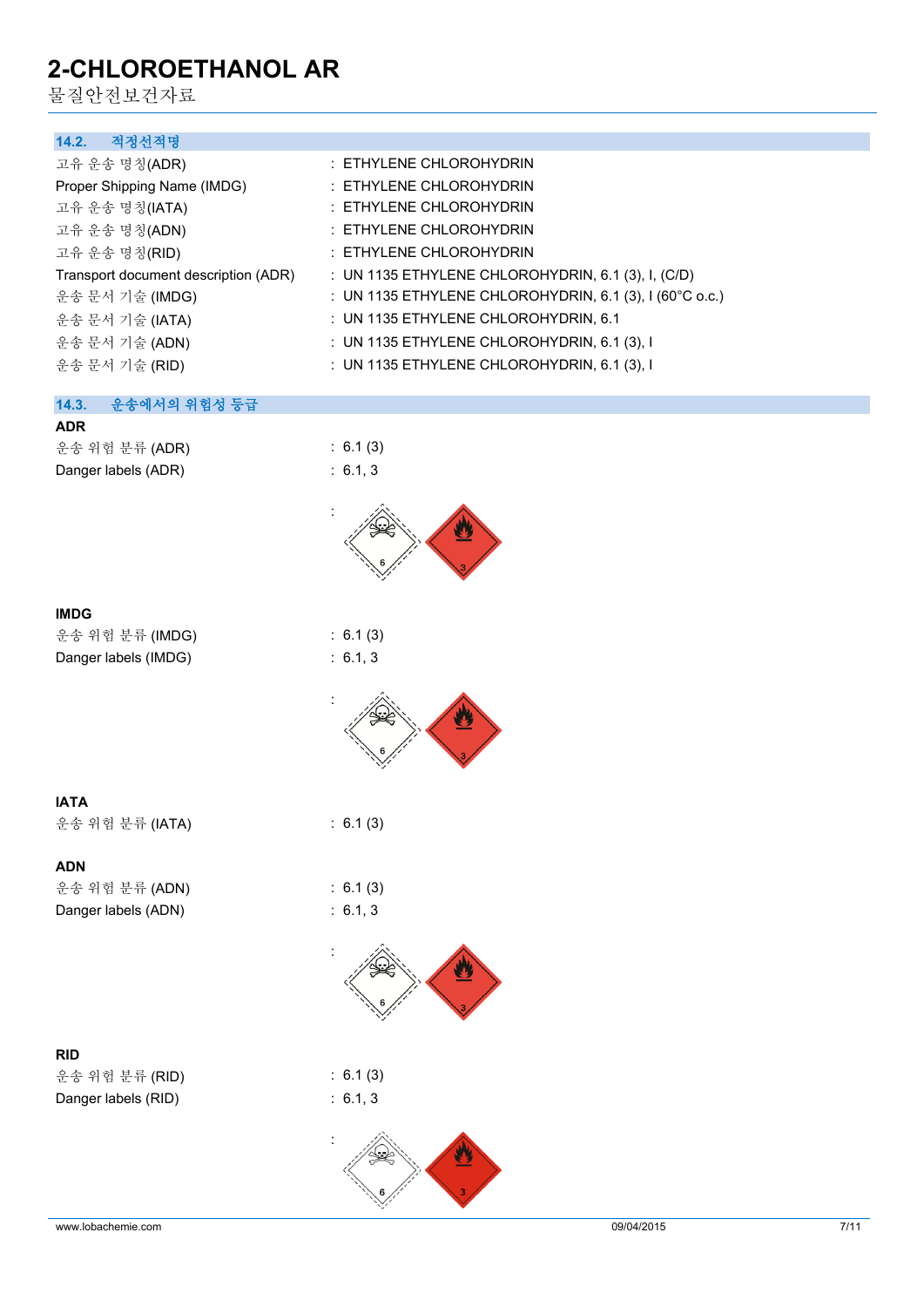물질안전보건자료

| : ETHYLENE CHLOROHYDRIN                                 |
|---------------------------------------------------------|
| : ETHYLENE CHLOROHYDRIN                                 |
| : ETHYLENE CHLOROHYDRIN                                 |
| : ETHYLENE CHLOROHYDRIN                                 |
| $\pm$ ETHYLENE CHLOROHYDRIN                             |
| : UN 1135 ETHYLENE CHLOROHYDRIN, 6.1 (3), I, (C/D)      |
| : UN 1135 ETHYLENE CHLOROHYDRIN, 6.1 (3), I (60°C o.c.) |
| : UN 1135 ETHYLENE CHLOROHYDRIN, 6.1                    |
| : UN 1135 ETHYLENE CHLOROHYDRIN, 6.1 (3), I             |
| : UN 1135 ETHYLENE CHLOROHYDRIN, 6.1 $(3)$ , I          |
|                                                         |
|                                                         |
|                                                         |
| : 6.1(3)                                                |
| : 6.1, 3                                                |
|                                                         |



#### **IMDG**

| 운송 위험 분류 (IMDG)      |  |
|----------------------|--|
| Danger labels (IMDG) |  |



 $: 6.1 (3)$  $: 6.1, 3$ 

**IATA**

운송 위험 분류 (IATA) : 6.1 (3)

### **ADN**

운송 위험 분류 (ADN) : 6.1 (3) Danger labels (ADN) : 6.1, 3

### **RID**

운송 위험 분류 (RID) : 6.1 (3) Danger labels (RID) : 6.1, 3



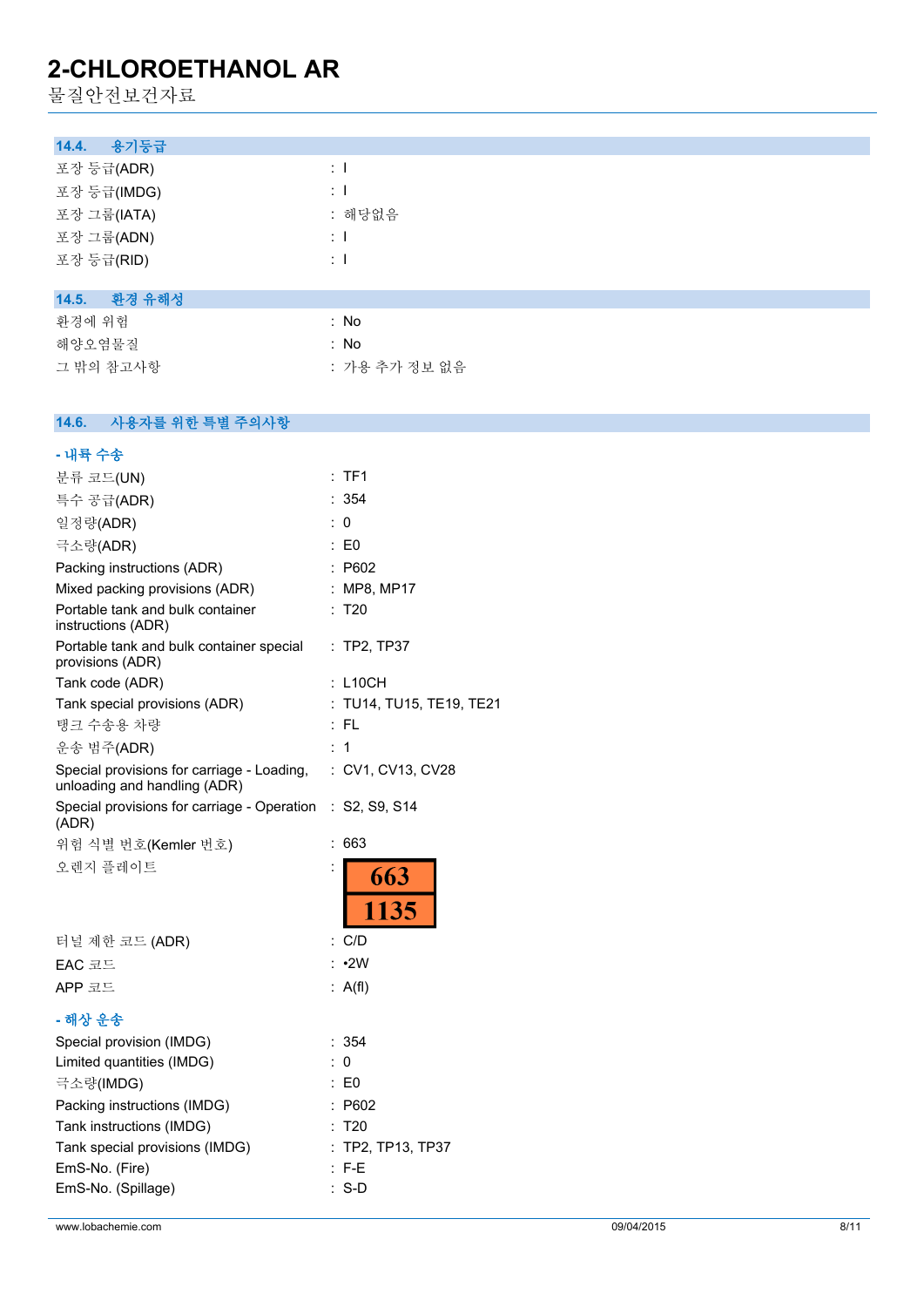물질안전보건자료

| 용기등급<br>14.4.   |               |
|-----------------|---------------|
| 포장 등급(ADR)      | $\pm$ 1       |
| 포장 등급(IMDG)     | $\pm$ 1       |
| 포장 그룹(IATA)     | : 해당없음        |
| 포장 그룹(ADN)      | $\pm$ 1       |
| 포장 등급(RID)      | $\pm$ 1       |
|                 |               |
| 환경 유해성<br>14.5. |               |
| 환경에 위험          | : No          |
| 해양오염물질          | : No          |
| 그 밖의 참고사항       | : 가용 추가 정보 없음 |

#### $14.6.$ **14.6. 사용자를 위한 특별 주의사항**

| - 내륙 수송                                                                                      |                          |
|----------------------------------------------------------------------------------------------|--------------------------|
| 분류 코드(UN)                                                                                    | TF1                      |
| 특수 공급(ADR)                                                                                   | : 354                    |
| 일정량(ADR)                                                                                     | : 0                      |
| 극소량(ADR)                                                                                     | : E0                     |
| Packing instructions (ADR)                                                                   | : P602                   |
| Mixed packing provisions (ADR)                                                               | : MP8, MP17              |
| Portable tank and bulk container<br>instructions (ADR)                                       | T <sub>20</sub>          |
| Portable tank and bulk container special<br>provisions (ADR)                                 | : TP2, TP37              |
| Tank code (ADR)                                                                              | $\ddot{\cdot}$<br>L10CH  |
| Tank special provisions (ADR)                                                                | : TU14, TU15, TE19, TE21 |
| 탱크 수송용 차량                                                                                    | : FL                     |
| 운송 범주(ADR)                                                                                   | : 1                      |
| Special provisions for carriage - Loading, : CV1, CV13, CV28<br>unloading and handling (ADR) |                          |
| Special provisions for carriage - Operation : S2, S9, S14<br>(ADR)                           |                          |
|                                                                                              |                          |
| 위험 식별 번호(Kemler 번호)                                                                          | 663<br>÷                 |
| 오렌지 플레이트                                                                                     | 663<br>1135              |
| 터널 제한 코드 (ADR)                                                                               | : C/D                    |
| EAC 코드                                                                                       | $: \cdot 2W$             |
| APP 코드                                                                                       | : $A(f)$                 |
| - 해상 운송                                                                                      |                          |
| Special provision (IMDG)                                                                     | : 354                    |
| Limited quantities (IMDG)                                                                    | 0                        |
| 극소량(IMDG)                                                                                    | $\mathsf{E}$ E0          |
| Packing instructions (IMDG)                                                                  | : P602                   |
| Tank instructions (IMDG)                                                                     | : T20                    |
| Tank special provisions (IMDG)                                                               | TP2, TP13, TP37          |
| EmS-No. (Fire)                                                                               | $:$ F-F                  |
| EmS-No. (Spillage)                                                                           | $S-D$                    |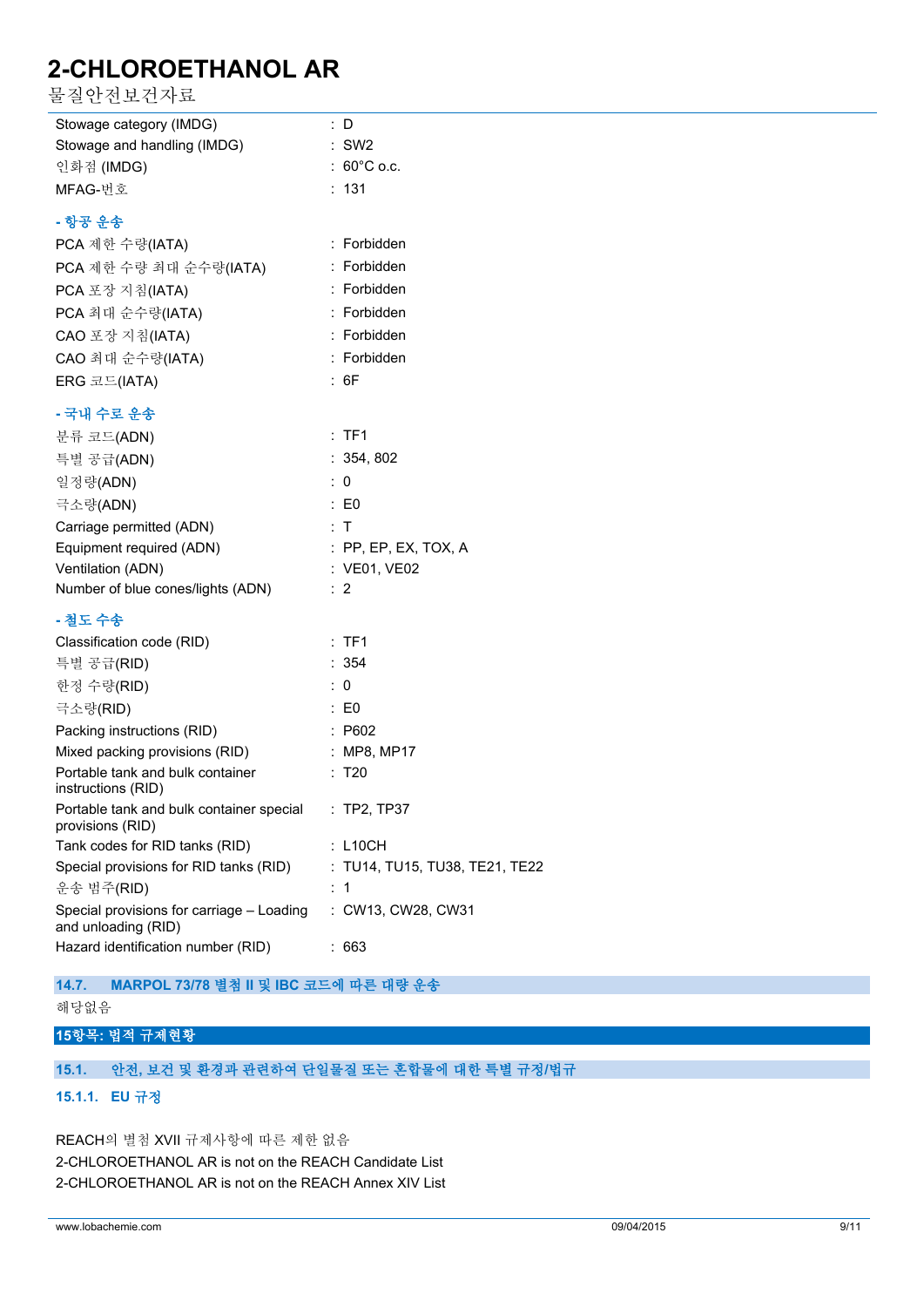물질안전보건자료

| Stowage category (IMDG)                                          | : D                            |
|------------------------------------------------------------------|--------------------------------|
| Stowage and handling (IMDG)                                      | $:$ SW2                        |
| 인화점 (IMDG)                                                       | $:60^{\circ}$ C o.c.           |
| MFAG-번호                                                          | : 131                          |
| - 항공 운송                                                          |                                |
| PCA 제한 수량(IATA)                                                  | : Forbidden                    |
| PCA 제한 수량 최대 순수량(IATA)                                           | : Forbidden                    |
| PCA 포장 지침(IATA)                                                  | : Forbidden                    |
| PCA 최대 순수량(IATA)                                                 | : Forbidden                    |
| CAO 포장 지침(IATA)                                                  | : Forbidden                    |
| CAO 최대 순수량(IATA)                                                 | : Forbidden                    |
| ERG 코드(IATA)                                                     | : 6F                           |
| - 국내 수로 운송                                                       |                                |
| 분류 코드(ADN)                                                       | :TF1                           |
| 특별 공급(ADN)                                                       | : 354, 802                     |
| 일정량(ADN)                                                         | : 0                            |
| 극소량(ADN)                                                         | $\therefore$ EO                |
| Carriage permitted (ADN)                                         | : T                            |
| Equipment required (ADN)                                         | $:$ PP, EP, EX, TOX, A         |
| Ventilation (ADN)                                                | : VE01, VE02                   |
| Number of blue cones/lights (ADN)                                | $\therefore$ 2                 |
| - 철도 수송                                                          |                                |
| Classification code (RID)                                        | :TF1                           |
| 특별 공급(RID)                                                       | : 354                          |
| 한정 수량(RID)                                                       | : 0                            |
| 극소량(RID)                                                         | $\therefore$ E0                |
| Packing instructions (RID)                                       | $\therefore$ P602              |
| Mixed packing provisions (RID)                                   | $\therefore$ MP8, MP17         |
| Portable tank and bulk container<br>instructions (RID)           | : T20                          |
| Portable tank and bulk container special<br>provisions (RID)     | $\therefore$ TP2, TP37         |
| Tank codes for RID tanks (RID)                                   | : L10CH                        |
| Special provisions for RID tanks (RID)                           | : TU14, TU15, TU38, TE21, TE22 |
| 운송 범주(RID)                                                       | : 1                            |
| Special provisions for carriage - Loading<br>and unloading (RID) | : CW13, CW28, CW31             |
| Hazard identification number (RID)                               | : 663                          |

**14.7. MARPOL 73/78 별첨 II 및 IBC 코드에 따른 대량 운송**

해당없음

### **15항목: 법적 규제현황**

### **15.1. 안전, 보건 및 환경과 관련하여 단일물질 또는 혼합물에 대한 특별 규정/법규**

### **15.1.1. EU 규정**

REACH의 별첨 XVII 규제사항에 따른 제한 없음 2-CHLOROETHANOL AR is not on the REACH Candidate List 2-CHLOROETHANOL AR is not on the REACH Annex XIV List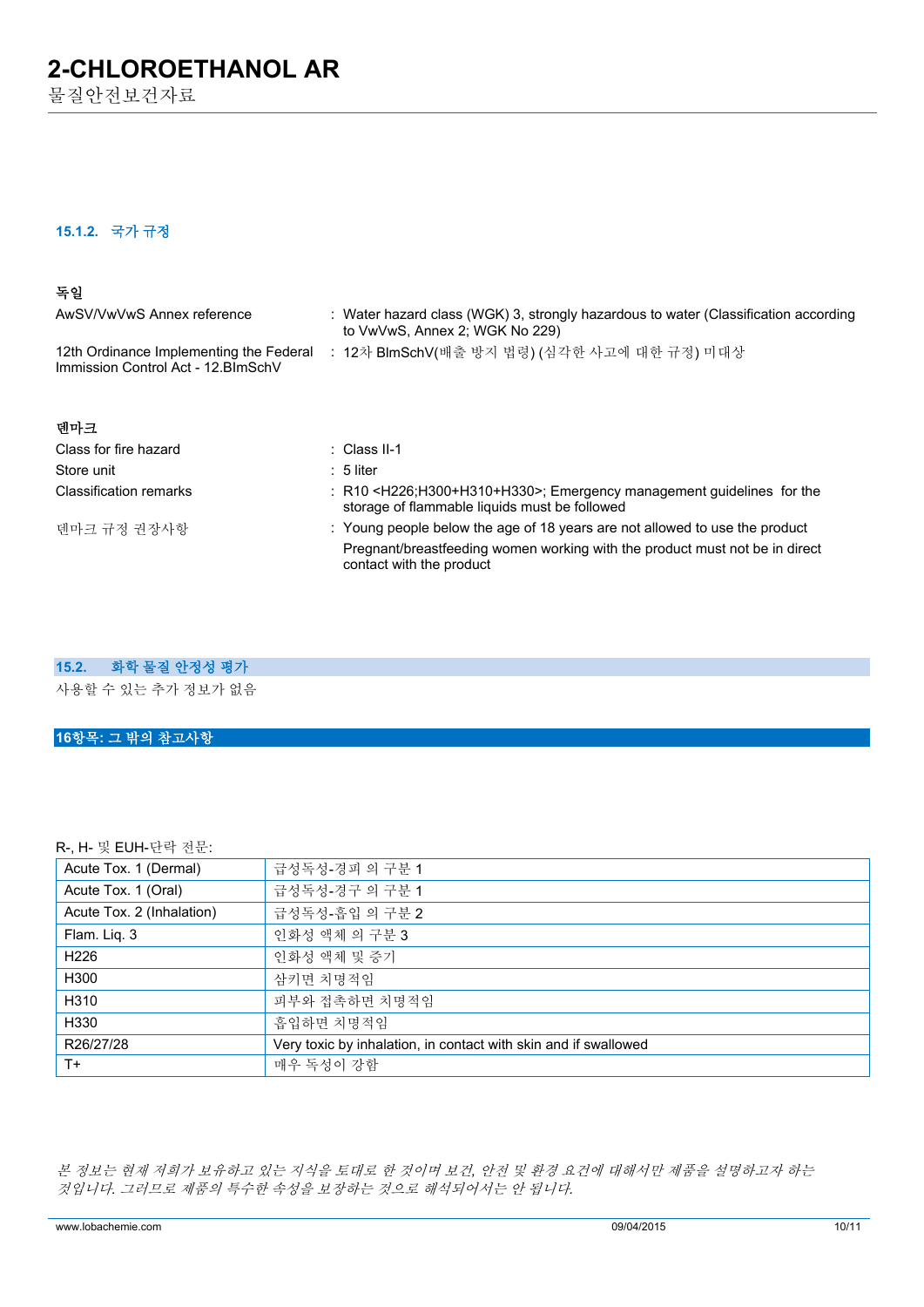물질안전보건자료

### **15.1.2. 국가 규정**

### **독일**

| AwSV/VwVwS Annex reference                                                     | : Water hazard class (WGK) 3, strongly hazardous to water (Classification according<br>to VwVwS, Annex 2; WGK No 229)      |
|--------------------------------------------------------------------------------|----------------------------------------------------------------------------------------------------------------------------|
| 12th Ordinance Implementing the Federal<br>Immission Control Act - 12. BlmSchV | : 12차 BlmSchV(배출 방지 법령) (심각한 사고에 대한 규정) 미대상                                                                                |
| 덴마크                                                                            |                                                                                                                            |
| Class for fire hazard                                                          | $\therefore$ Class II-1                                                                                                    |
| Store unit                                                                     | $: 5$ liter                                                                                                                |
| <b>Classification remarks</b>                                                  | : $R10 < H226$ ; H300+H310+H330>; Emergency management quidelines for the<br>storage of flammable liquids must be followed |
| 덴마크 규정 권장사항                                                                    | : Young people below the age of 18 years are not allowed to use the product                                                |
|                                                                                | Pregnant/breastfeeding women working with the product must not be in direct<br>contact with the product                    |

### **15.2. 화학 물질 안정성 평가**

사용할 수 있는 추가 정보가 없음

#### **16항목: 그 밖의 참고사항**

R-, H- 및 EUH-단락 전문:

| Acute Tox. 1 (Dermal)     | 급성독성-경피 의 구분 1                                                  |
|---------------------------|-----------------------------------------------------------------|
| Acute Tox. 1 (Oral)       | 급성독성-경구 의 구분 1                                                  |
| Acute Tox. 2 (Inhalation) | 급성독성-흡입 의 구분 2                                                  |
| Flam. Liq. 3              | 인화성 액체 의 구분 3                                                   |
| H <sub>226</sub>          | 인화성 액체 및 증기                                                     |
| H300                      | 삼키면 치명적임                                                        |
| H310                      | 피부와 접촉하면 치명적임                                                   |
| H330                      | 흡입하면 치명적임                                                       |
| R26/27/28                 | Very toxic by inhalation, in contact with skin and if swallowed |
| $T+$                      | 매우 독성이 강함                                                       |

*본 정보는 현재 저희가 보유하고 있는 지식을 토대로 한 것이며 보건, 안전 및 환경 요건에 대해서만 제품을 설명하고자 하는 것입니다. 그러므로 제품의 특수한 속성을 보장하는 것으로 해석되어서는 안 됩니다.*